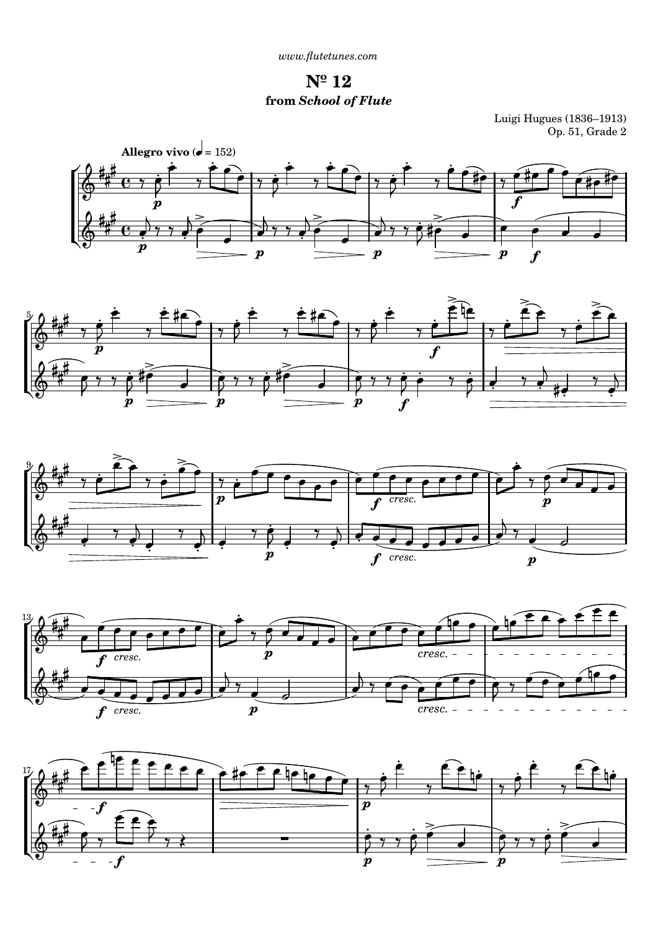**Nº 12 from** *School of Flute*

Luigi Hugues (1836–1913) Op. 51, Grade 2









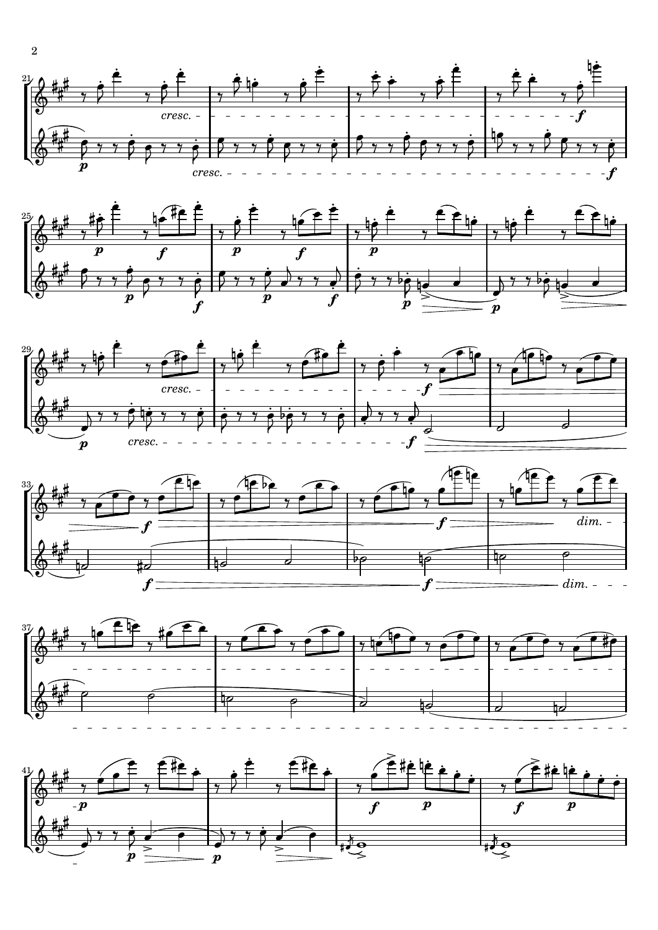